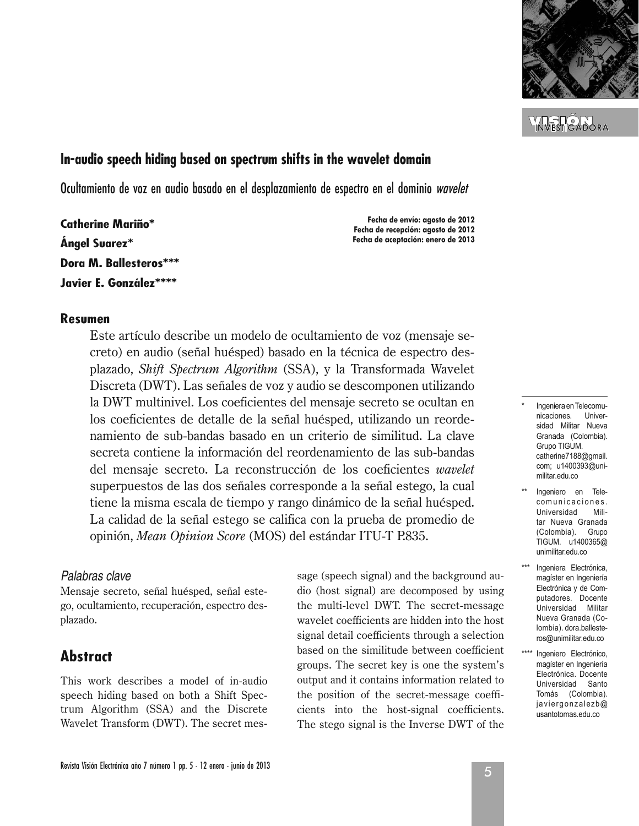

<u>VIELŐRI</u>

# **In-audio speech hiding based on spectrum shifts in the wavelet domain**

Ocultamiento de voz en audio basado en el desplazamiento de espectro en el dominio wavelet

**Catherine Mariño\* Angel Suarez\* Dora M. Ballesteros\*\*\* Javier E. González\*\*\*\***

**Fecha de envío: agosto de 2012 Fecha de recepción: agosto de 2012 Fecha de aceptación: enero de 2013**

### **Resumen**

Este artículo describe un modelo de ocultamiento de voz (mensaje secreto) en audio (señal huésped) basado en la técnica de espectro desplazado, *Shift Spectrum Algorithm* (SSA), y la Transformada Wavelet Discreta (DWT). Las señales de voz y audio se descomponen utilizando la DWT multinivel. Los coeficientes del mensaje secreto se ocultan en los coeficientes de detalle de la señal huésped, utilizando un reordenamiento de sub-bandas basado en un criterio de similitud. La clave secreta contiene la información del reordenamiento de las sub-bandas del mensaje secreto. La reconstrucción de los coeficientes *wavelet* superpuestos de las dos señales corresponde a la señal estego, la cual tiene la misma escala de tiempo y rango dinámico de la señal huésped. La calidad de la señal estego se califica con la prueba de promedio de opinión, *Mean Opinion Score* (MOS) del estándar ITU-T P.835.

### *Palabras clave*

Mensaje secreto, señal huésped, señal estego, ocultamiento, recuperación, espectro desplazado.

# **Abstract**

This work describes a model of in-audio speech hiding based on both a Shift Spectrum Algorithm (SSA) and the Discrete Wavelet Transform (DWT). The secret mes-

sage (speech signal) and the background audio (host signal) are decomposed by using the multi-level DWT. The secret-message wavelet coefficients are hidden into the host signal detail coefficients through a selection based on the similitude between coefficient groups. The secret key is one the system's output and it contains information related to the position of the secret-message coefficients into the host-signal coefficients. The stego signal is the Inverse DWT of the

Ingeniera en Telecomu nicaciones. Universidad Militar Nueva Granada (Colombia). Grupo TIGUM. catherine7188@gmail. com; u1400393@unimilitar.edu.co

- Ingeniero en Telecomunicaciones. Universidad Militar Nueva Granada (Colombia). Grupo TIGUM. u1400365@ unimilitar.edu.co
- Ingeniera Electrónica, magíster en Ingeniería Electrónica y de Computadores. Docente Universidad Militar Nueva Granada (Colombia). dora.ballesteros@unimilitar.edu.co
- \*\*\*\* Ingeniero Electrónico, magíster en Ingeniería Electrónica. Docente Universidad Santo Tomás (Colombia). javiergonza lezb@ usantotomas.edu.co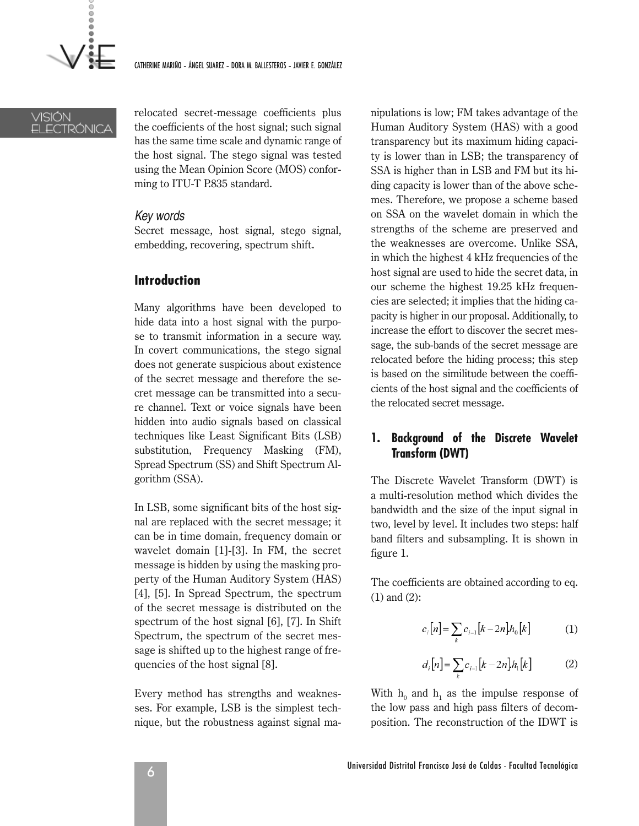

### VISIÓN ELECTRÓNICA

relocated secret-message coefficients plus the coefficients of the host signal; such signal has the same time scale and dynamic range of the host signal. The stego signal was tested using the Mean Opinion Score (MOS) conforming to ITU-T P.835 standard.

### *Key words*

Secret message, host signal, stego signal, embedding, recovering, spectrum shift.

# **Introduction**

Many algorithms have been developed to hide data into a host signal with the purpose to transmit information in a secure way. In covert communications, the stego signal does not generate suspicious about existence of the secret message and therefore the secret message can be transmitted into a secure channel. Text or voice signals have been hidden into audio signals based on classical techniques like Least Significant Bits (LSB) substitution, Frequency Masking (FM), Spread Spectrum (SS) and Shift Spectrum Algorithm (SSA).

In LSB, some significant bits of the host signal are replaced with the secret message; it can be in time domain, frequency domain or wavelet domain [1]-[3]. In FM, the secret message is hidden by using the masking property of the Human Auditory System (HAS) [4], [5]. In Spread Spectrum, the spectrum of the secret message is distributed on the spectrum of the host signal [6], [7]. In Shift Spectrum, the spectrum of the secret message is shifted up to the highest range of frequencies of the host signal [8].

Every method has strengths and weaknesses. For example, LSB is the simplest technique, but the robustness against signal manipulations is low; FM takes advantage of the Human Auditory System (HAS) with a good transparency but its maximum hiding capacity is lower than in LSB; the transparency of SSA is higher than in LSB and FM but its hiding capacity is lower than of the above schemes. Therefore, we propose a scheme based on SSA on the wavelet domain in which the strengths of the scheme are preserved and the weaknesses are overcome. Unlike SSA, in which the highest 4 kHz frequencies of the host signal are used to hide the secret data, in our scheme the highest 19.25 kHz frequencies are selected; it implies that the hiding capacity is higher in our proposal. Additionally, to increase the effort to discover the secret message, the sub-bands of the secret message are relocated before the hiding process; this step is based on the similitude between the coefficients of the host signal and the coefficients of the relocated secret message.

# **1. Background of the Discrete Wavelet Transform (DWT)**

The Discrete Wavelet Transform (DWT) is a multi-resolution method which divides the bandwidth and the size of the input signal in two, level by level. It includes two steps: half band filters and subsampling. It is shown in figure 1.

The coefficients are obtained according to eq. (1) and (2):

$$
c_i[n] = \sum_k c_{i-1}[k - 2n]h_0[k] \tag{1}
$$

$$
d_i[n] = \sum_k c_{i-1}[k - 2n]h_i[k] \tag{2}
$$

With  $h_0$  and  $h_1$  as the impulse response of the low pass and high pass filters of decomposition. The reconstruction of the IDWT is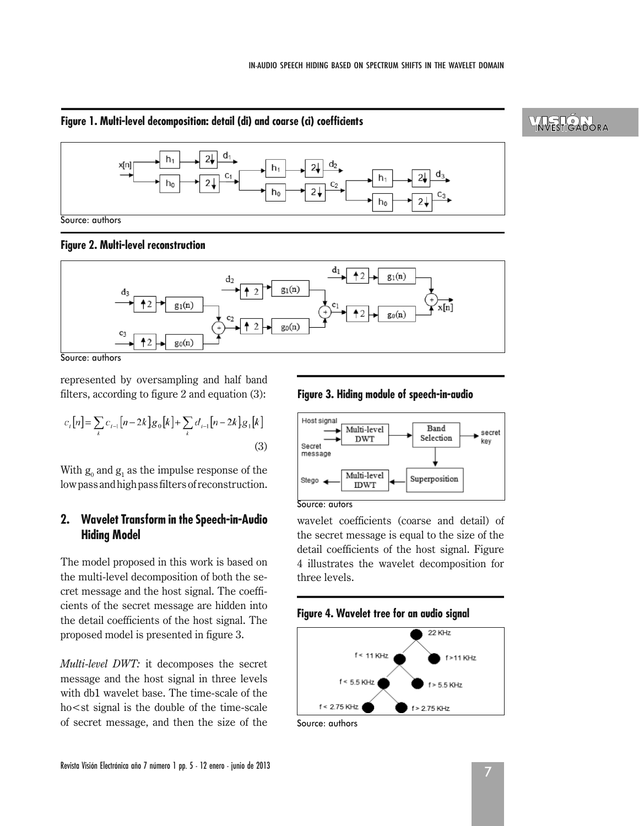### **Figure 1. Multi-level decomposition: detail (di) and coarse (ci) coefficients**



**Figure 2. Multi-level reconstruction**



Source: authors

represented by oversampling and half band filters, according to figure 2 and equation (3):

$$
c_i[n] = \sum_k c_{i-1}[n-2k]g_0[k] + \sum_k d_{i-1}[n-2k]g_1[k]
$$
\n(3)

With  $g_0$  and  $g_1$  as the impulse response of the low pass and high pass filters of reconstruction.

# **2. Wavelet Transform in the Speech-in-Audio Hiding Model**

The model proposed in this work is based on the multi-level decomposition of both the secret message and the host signal. The coefficients of the secret message are hidden into the detail coefficients of the host signal. The proposed model is presented in figure 3.

*Multi-level DWT:* it decomposes the secret message and the host signal in three levels with db1 wavelet base. The time-scale of the ho < st signal is the double of the time-scale of secret message, and then the size of the

### **Figure 3. Hiding module of speech-in-audio**



Source: autors

wavelet coefficients (coarse and detail) of the secret message is equal to the size of the detail coefficients of the host signal. Figure 4 illustrates the wavelet decomposition for three levels.

### **Figure 4. Wavelet tree for an audio signal**



Source: authors

# **YNSTIGNORA**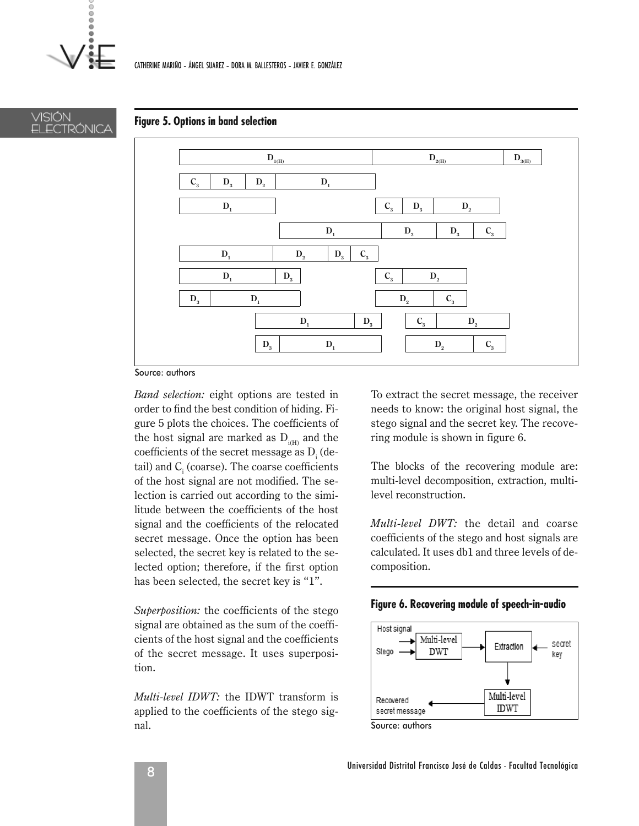ō



### **Figure 5. Options in band selection**



Source: authors

*Band selection:* eight options are tested in order to find the best condition of hiding. Figure 5 plots the choices. The coefficients of the host signal are marked as  $D_{\text{min}}$  and the coefficients of the secret message as  $D_i$  (detail) and  $C<sub>i</sub>$  (coarse). The coarse coefficients of the host signal are not modified. The selection is carried out according to the similitude between the coefficients of the host signal and the coefficients of the relocated secret message. Once the option has been selected, the secret key is related to the selected option; therefore, if the first option has been selected, the secret key is "1".

*Superposition:* the coefficients of the stego signal are obtained as the sum of the coefficients of the host signal and the coefficients of the secret message. It uses superposition.

*Multi-level IDWT:* the IDWT transform is applied to the coefficients of the stego signal.

To extract the secret message, the receiver needs to know: the original host signal, the stego signal and the secret key. The recovering module is shown in figure 6.

The blocks of the recovering module are: multi-level decomposition, extraction, multilevel reconstruction.

*Multi-level DWT:* the detail and coarse coefficients of the stego and host signals are calculated. It uses db1 and three levels of decomposition.





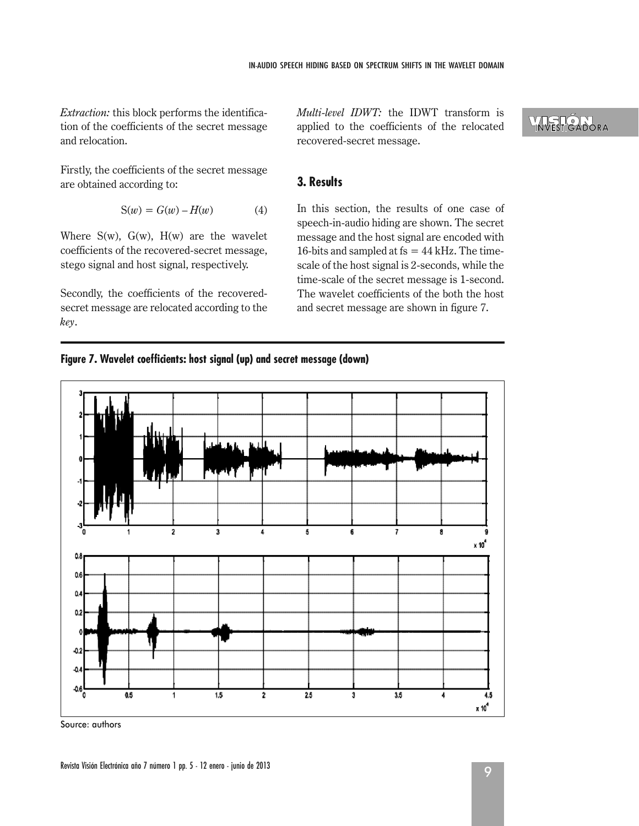*Extraction:* this block performs the identification of the coefficients of the secret message and relocation.

Firstly, the coefficients of the secret message are obtained according to:

$$
S(w) = G(w) - H(w) \tag{4}
$$

Where  $S(w)$ ,  $G(w)$ ,  $H(w)$  are the wavelet coefficients of the recovered-secret message, stego signal and host signal, respectively.

Secondly, the coefficients of the recoveredsecret message are relocated according to the *key*.

*Multi-level IDWT:* the IDWT transform is applied to the coefficients of the relocated recovered-secret message.

# **3. Results**

In this section, the results of one case of speech-in-audio hiding are shown. The secret message and the host signal are encoded with 16-bits and sampled at  $fs = 44$  kHz. The timescale of the host signal is 2-seconds, while the time-scale of the secret message is 1-second. The wavelet coefficients of the both the host and secret message are shown in figure 7.





Source: authors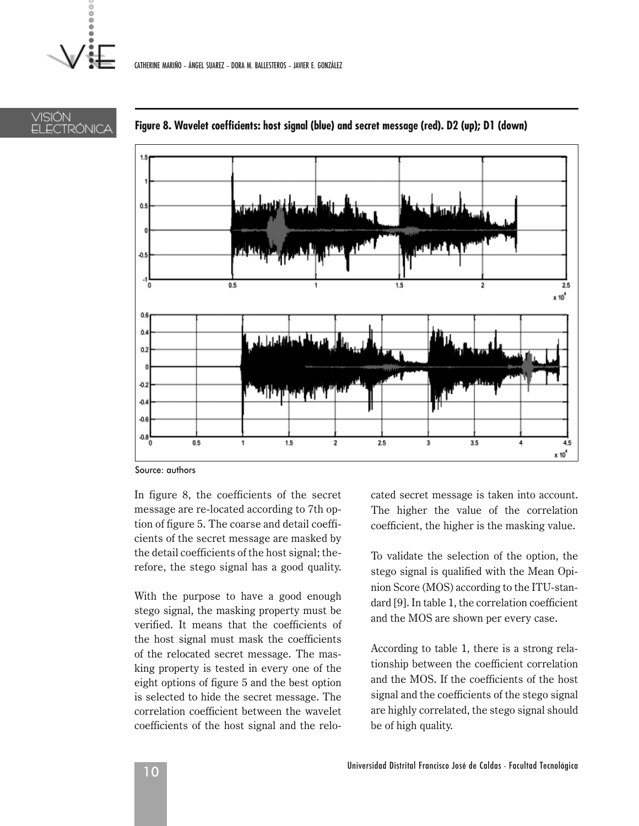VISIÓN

ELECTRÓNICA



### **Figure 8. Wavelet coefficients: host signal (blue) and secret message (red). D2 (up); D1 (down)**

Source: authors

In figure 8, the coefficients of the secret message are re-located according to 7th option of figure 5. The coarse and detail coefficients of the secret message are masked by the detail coefficients of the host signal; therefore, the stego signal has a good quality.

With the purpose to have a good enough stego signal, the masking property must be verified. It means that the coefficients of the host signal must mask the coefficients of the relocated secret message. The masking property is tested in every one of the eight options of figure 5 and the best option is selected to hide the secret message. The correlation coefficient between the wavelet coefficients of the host signal and the relocated secret message is taken into account. The higher the value of the correlation coefficient, the higher is the masking value.

To validate the selection of the option, the stego signal is qualified with the Mean Opinion Score (MOS) according to the ITU-standard [9]. In table 1, the correlation coefficient and the MOS are shown per every case.

According to table 1, there is a strong relationship between the coefficient correlation and the MOS. If the coefficients of the host signal and the coefficients of the stego signal are highly correlated, the stego signal should be of high quality.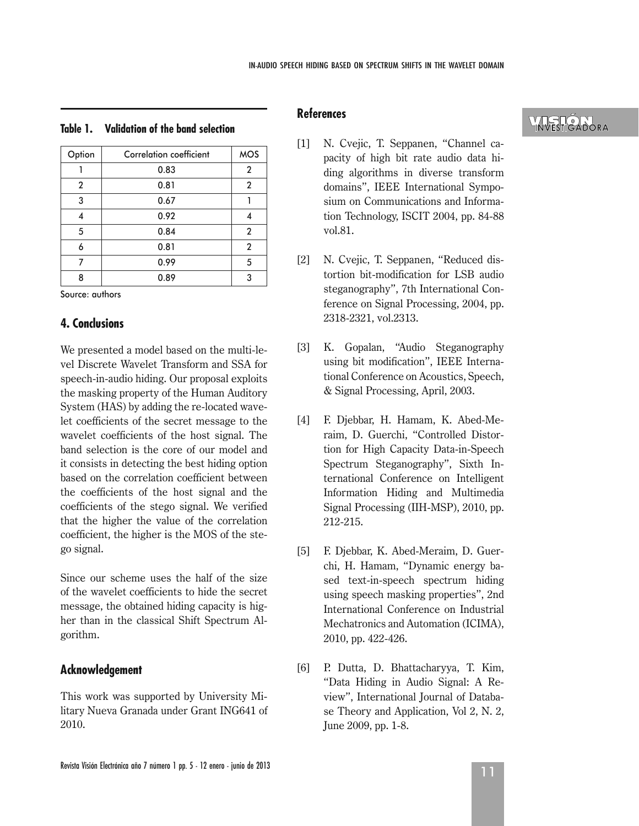| <b>Correlation coefficient</b> | <b>MOS</b>     |
|--------------------------------|----------------|
| 0.83                           | 2              |
| 0.81                           | 2              |
| 0.67                           |                |
| 0.92                           |                |
| 0.84                           | $\overline{2}$ |
| 0.81                           | $\mathbf{2}$   |
| 0.99                           | 5              |
| 0.89                           | 3              |
|                                |                |

### **Table 1. Validation of the band selection**

Source: authors

### **4. Conclusions**

We presented a model based on the multi-level Discrete Wavelet Transform and SSA for speech-in-audio hiding. Our proposal exploits the masking property of the Human Auditory System (HAS) by adding the re-located wavelet coefficients of the secret message to the wavelet coefficients of the host signal. The band selection is the core of our model and it consists in detecting the best hiding option based on the correlation coefficient between the coefficients of the host signal and the coefficients of the stego signal. We verified that the higher the value of the correlation coefficient, the higher is the MOS of the stego signal.

Since our scheme uses the half of the size of the wavelet coefficients to hide the secret message, the obtained hiding capacity is higher than in the classical Shift Spectrum Algorithm.

# **Acknowledgement**

This work was supported by University Military Nueva Granada under Grant ING641 of 2010.

# **References**

- [1] N. Cvejic, T. Seppanen, "Channel capacity of high bit rate audio data hiding algorithms in diverse transform domains", IEEE International Symposium on Communications and Information Technology, ISCIT 2004, pp. 84-88 vol.81.
- [2] N. Cvejic, T. Seppanen, "Reduced distortion bit-modification for LSB audio steganography", 7th International Conference on Signal Processing, 2004, pp. 2318-2321, vol.2313.
- [3] K. Gopalan, "Audio Steganography using bit modification", IEEE International Conference on Acoustics, Speech, & Signal Processing, April, 2003.
- [4] F. Djebbar, H. Hamam, K. Abed-Meraim, D. Guerchi, "Controlled Distortion for High Capacity Data-in-Speech Spectrum Steganography", Sixth International Conference on Intelligent Information Hiding and Multimedia Signal Processing (IIH-MSP), 2010, pp. 212-215.
- [5] F. Djebbar, K. Abed-Meraim, D. Guerchi, H. Hamam, "Dynamic energy based text-in-speech spectrum hiding using speech masking properties", 2nd International Conference on Industrial Mechatronics and Automation (ICIMA), 2010, pp. 422-426.
- [6] P. Dutta, D. Bhattacharyya, T. Kim, "Data Hiding in Audio Signal: A Review", International Journal of Database Theory and Application, Vol 2, N. 2, June 2009, pp. 1-8.